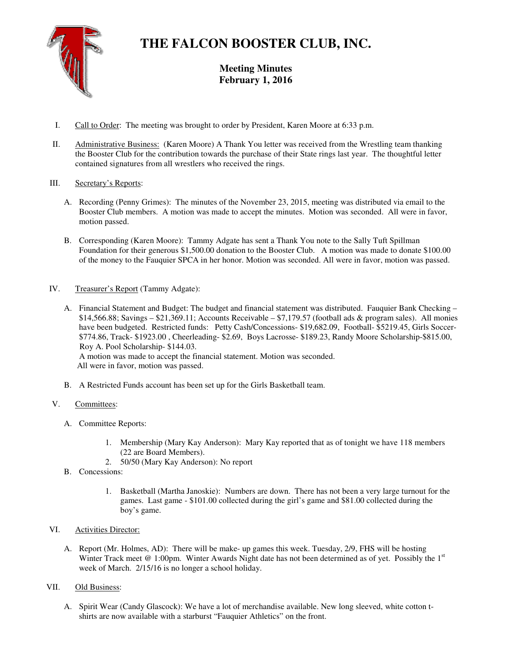

# **THE FALCON BOOSTER CLUB, INC.**

**Meeting Minutes February 1, 2016** 

- I. Call to Order: The meeting was brought to order by President, Karen Moore at 6:33 p.m.
- II. Administrative Business: (Karen Moore) A Thank You letter was received from the Wrestling team thanking the Booster Club for the contribution towards the purchase of their State rings last year. The thoughtful letter contained signatures from all wrestlers who received the rings.

### III. Secretary's Reports:

- A. Recording (Penny Grimes): The minutes of the November 23, 2015, meeting was distributed via email to the Booster Club members. A motion was made to accept the minutes. Motion was seconded. All were in favor, motion passed.
- B. Corresponding (Karen Moore): Tammy Adgate has sent a Thank You note to the Sally Tuft Spillman Foundation for their generous \$1,500.00 donation to the Booster Club. A motion was made to donate \$100.00 of the money to the Fauquier SPCA in her honor. Motion was seconded. All were in favor, motion was passed.
- IV. Treasurer's Report (Tammy Adgate):
	- A. Financial Statement and Budget: The budget and financial statement was distributed. Fauquier Bank Checking  $$14,566.88$ ; Savings – \$21,369.11; Accounts Receivable – \$7,179.57 (football ads & program sales). All monies have been budgeted. Restricted funds: Petty Cash/Concessions- \$19,682.09, Football- \$5219.45, Girls Soccer-\$774.86, Track- \$1923.00 , Cheerleading- \$2.69, Boys Lacrosse- \$189.23, Randy Moore Scholarship-\$815.00, Roy A. Pool Scholarship- \$144.03.

 A motion was made to accept the financial statement. Motion was seconded. All were in favor, motion was passed.

B. A Restricted Funds account has been set up for the Girls Basketball team.

#### V. Committees:

- A. Committee Reports:
	- 1. Membership (Mary Kay Anderson): Mary Kay reported that as of tonight we have 118 members (22 are Board Members).
	- 2. 50/50 (Mary Kay Anderson): No report
- B. Concessions:
	- 1. Basketball (Martha Janoskie): Numbers are down. There has not been a very large turnout for the games. Last game - \$101.00 collected during the girl's game and \$81.00 collected during the boy's game.

# VI. Activities Director:

A. Report (Mr. Holmes, AD): There will be make- up games this week. Tuesday, 2/9, FHS will be hosting Winter Track meet  $@1:00$ pm. Winter Awards Night date has not been determined as of yet. Possibly the  $1<sup>st</sup>$ week of March. 2/15/16 is no longer a school holiday.

# VII. Old Business:

A. Spirit Wear (Candy Glascock): We have a lot of merchandise available. New long sleeved, white cotton tshirts are now available with a starburst "Fauquier Athletics" on the front.